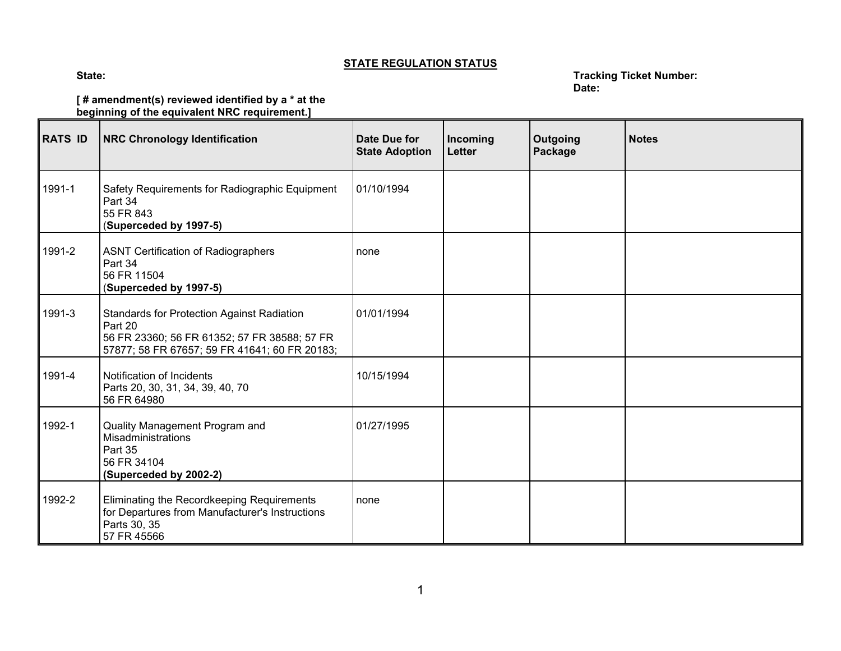## **STATE REGULATION STATUS**

## **State: Tracking Ticket Number: Date:**

## **[ # amendment(s) reviewed identified by a \* at the beginning of the equivalent NRC requirement.]**

| <b>RATS ID</b> | <b>NRC Chronology Identification</b>                                                                                                                          | Date Due for<br><b>State Adoption</b> | Incoming<br><b>Letter</b> | <b>Outgoing</b><br>Package | <b>Notes</b> |
|----------------|---------------------------------------------------------------------------------------------------------------------------------------------------------------|---------------------------------------|---------------------------|----------------------------|--------------|
| 1991-1         | Safety Requirements for Radiographic Equipment<br>Part 34<br>55 FR 843<br>(Superceded by 1997-5)                                                              | 01/10/1994                            |                           |                            |              |
| 1991-2         | <b>ASNT Certification of Radiographers</b><br>Part 34<br>56 FR 11504<br>(Superceded by 1997-5)                                                                | none                                  |                           |                            |              |
| 1991-3         | <b>Standards for Protection Against Radiation</b><br>Part 20<br>56 FR 23360; 56 FR 61352; 57 FR 38588; 57 FR<br>57877; 58 FR 67657; 59 FR 41641; 60 FR 20183; | 01/01/1994                            |                           |                            |              |
| 1991-4         | Notification of Incidents<br>Parts 20, 30, 31, 34, 39, 40, 70<br>56 FR 64980                                                                                  | 10/15/1994                            |                           |                            |              |
| 1992-1         | Quality Management Program and<br>Misadministrations<br>Part 35<br>56 FR 34104<br>(Superceded by 2002-2)                                                      | 01/27/1995                            |                           |                            |              |
| 1992-2         | Eliminating the Recordkeeping Requirements<br>for Departures from Manufacturer's Instructions<br>Parts 30, 35<br>57 FR 45566                                  | none                                  |                           |                            |              |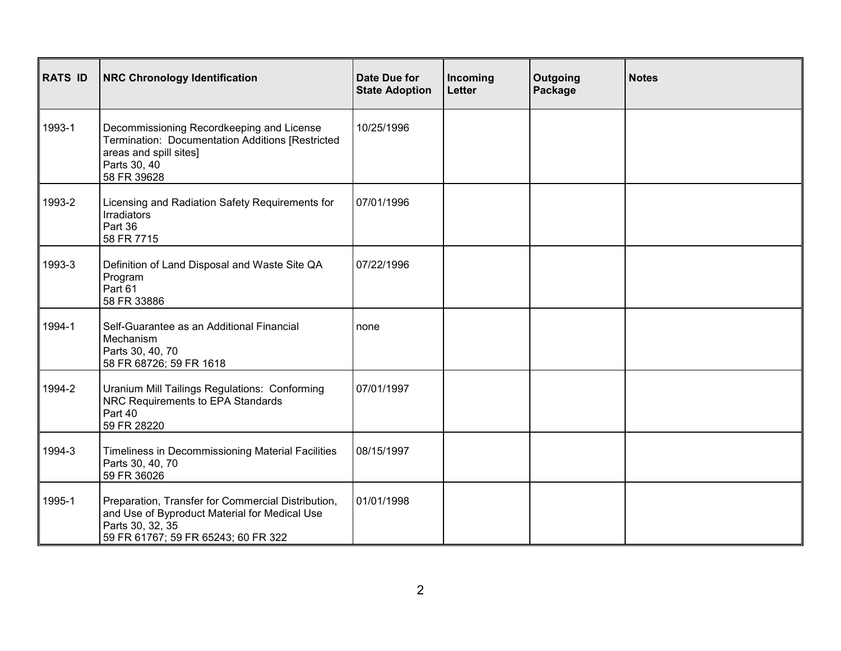| <b>RATS ID</b> | <b>NRC Chronology Identification</b>                                                                                                                           | <b>Date Due for</b><br><b>State Adoption</b> | Incoming<br>Letter | Outgoing<br>Package | <b>Notes</b> |
|----------------|----------------------------------------------------------------------------------------------------------------------------------------------------------------|----------------------------------------------|--------------------|---------------------|--------------|
| 1993-1         | Decommissioning Recordkeeping and License<br>Termination: Documentation Additions [Restricted<br>areas and spill sites]<br>Parts 30, 40<br>58 FR 39628         | 10/25/1996                                   |                    |                     |              |
| 1993-2         | Licensing and Radiation Safety Requirements for<br>Irradiators<br>Part 36<br>58 FR 7715                                                                        | 07/01/1996                                   |                    |                     |              |
| 1993-3         | Definition of Land Disposal and Waste Site QA<br>Program<br>Part 61<br>58 FR 33886                                                                             | 07/22/1996                                   |                    |                     |              |
| 1994-1         | Self-Guarantee as an Additional Financial<br>Mechanism<br>Parts 30, 40, 70<br>58 FR 68726; 59 FR 1618                                                          | none                                         |                    |                     |              |
| 1994-2         | Uranium Mill Tailings Regulations: Conforming<br>NRC Requirements to EPA Standards<br>Part 40<br>59 FR 28220                                                   | 07/01/1997                                   |                    |                     |              |
| 1994-3         | Timeliness in Decommissioning Material Facilities<br>Parts 30, 40, 70<br>59 FR 36026                                                                           | 08/15/1997                                   |                    |                     |              |
| 1995-1         | Preparation, Transfer for Commercial Distribution,<br>and Use of Byproduct Material for Medical Use<br>Parts 30, 32, 35<br>59 FR 61767; 59 FR 65243; 60 FR 322 | 01/01/1998                                   |                    |                     |              |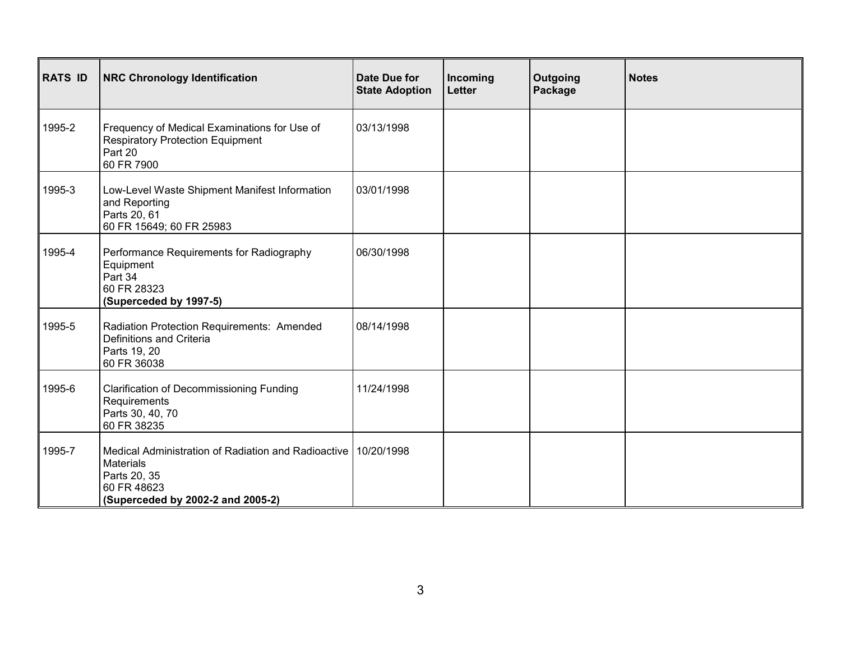| <b>RATS ID</b> | <b>NRC Chronology Identification</b>                                                                                                                   | Date Due for<br><b>State Adoption</b> | Incoming<br>Letter | Outgoing<br>Package | <b>Notes</b> |
|----------------|--------------------------------------------------------------------------------------------------------------------------------------------------------|---------------------------------------|--------------------|---------------------|--------------|
| 1995-2         | Frequency of Medical Examinations for Use of<br><b>Respiratory Protection Equipment</b><br>Part 20<br>60 FR 7900                                       | 03/13/1998                            |                    |                     |              |
| 1995-3         | Low-Level Waste Shipment Manifest Information<br>and Reporting<br>Parts 20, 61<br>60 FR 15649; 60 FR 25983                                             | 03/01/1998                            |                    |                     |              |
| 1995-4         | Performance Requirements for Radiography<br>Equipment<br>Part 34<br>60 FR 28323<br>(Superceded by 1997-5)                                              | 06/30/1998                            |                    |                     |              |
| 1995-5         | Radiation Protection Requirements: Amended<br>Definitions and Criteria<br>Parts 19, 20<br>60 FR 36038                                                  | 08/14/1998                            |                    |                     |              |
| 1995-6         | <b>Clarification of Decommissioning Funding</b><br>Requirements<br>Parts 30, 40, 70<br>60 FR 38235                                                     | 11/24/1998                            |                    |                     |              |
| 1995-7         | Medical Administration of Radiation and Radioactive 10/20/1998<br><b>Materials</b><br>Parts 20, 35<br>60 FR 48623<br>(Superceded by 2002-2 and 2005-2) |                                       |                    |                     |              |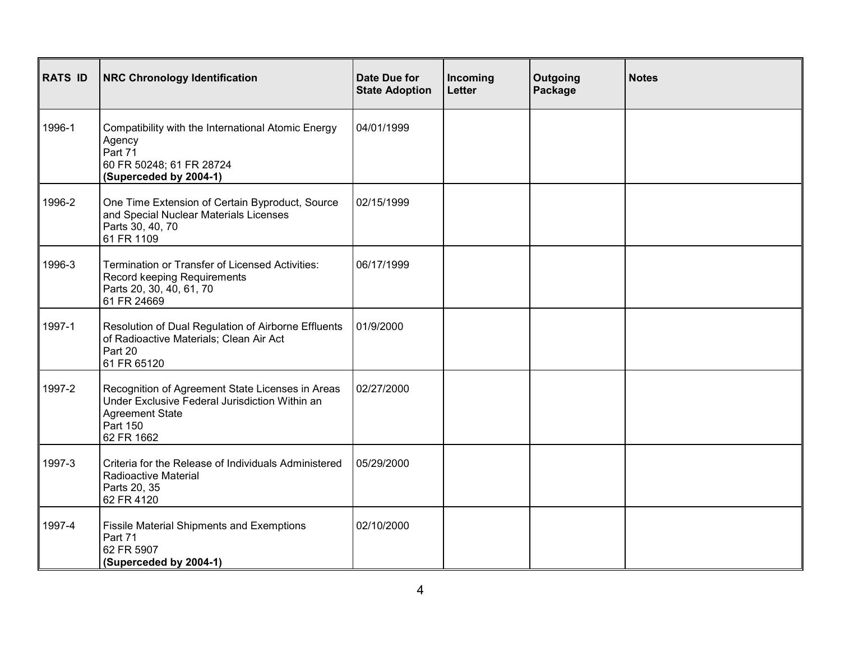| <b>RATS ID</b> | <b>NRC Chronology Identification</b>                                                                                                                   | Date Due for<br><b>State Adoption</b> | Incoming<br>Letter | Outgoing<br>Package | <b>Notes</b> |
|----------------|--------------------------------------------------------------------------------------------------------------------------------------------------------|---------------------------------------|--------------------|---------------------|--------------|
| 1996-1         | Compatibility with the International Atomic Energy<br>Agency<br>Part 71<br>60 FR 50248; 61 FR 28724<br>(Superceded by 2004-1)                          | 04/01/1999                            |                    |                     |              |
| 1996-2         | One Time Extension of Certain Byproduct, Source<br>and Special Nuclear Materials Licenses<br>Parts 30, 40, 70<br>61 FR 1109                            | 02/15/1999                            |                    |                     |              |
| 1996-3         | Termination or Transfer of Licensed Activities:<br>Record keeping Requirements<br>Parts 20, 30, 40, 61, 70<br>61 FR 24669                              | 06/17/1999                            |                    |                     |              |
| 1997-1         | Resolution of Dual Regulation of Airborne Effluents<br>of Radioactive Materials; Clean Air Act<br>Part 20<br>61 FR 65120                               | 01/9/2000                             |                    |                     |              |
| 1997-2         | Recognition of Agreement State Licenses in Areas<br>Under Exclusive Federal Jurisdiction Within an<br><b>Agreement State</b><br>Part 150<br>62 FR 1662 | 02/27/2000                            |                    |                     |              |
| 1997-3         | Criteria for the Release of Individuals Administered<br>Radioactive Material<br>Parts 20, 35<br>62 FR 4120                                             | 05/29/2000                            |                    |                     |              |
| 1997-4         | <b>Fissile Material Shipments and Exemptions</b><br>Part 71<br>62 FR 5907<br>(Superceded by 2004-1)                                                    | 02/10/2000                            |                    |                     |              |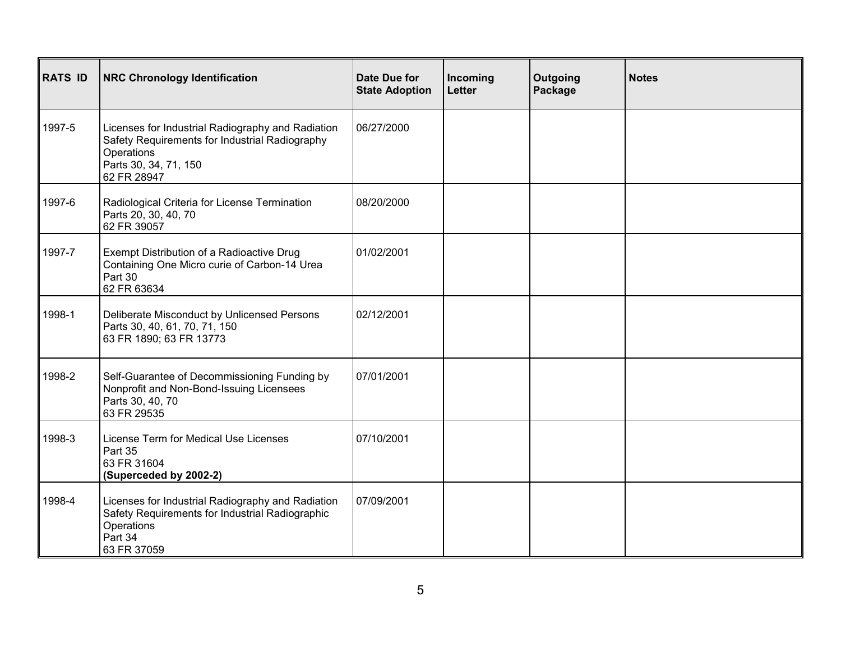| <b>RATS ID</b> | <b>NRC Chronology Identification</b>                                                                                                                      | <b>Date Due for</b><br><b>State Adoption</b> | Incoming<br><b>Letter</b> | Outgoing<br>Package | <b>Notes</b> |
|----------------|-----------------------------------------------------------------------------------------------------------------------------------------------------------|----------------------------------------------|---------------------------|---------------------|--------------|
| 1997-5         | Licenses for Industrial Radiography and Radiation<br>Safety Requirements for Industrial Radiography<br>Operations<br>Parts 30, 34, 71, 150<br>62 FR 28947 | 06/27/2000                                   |                           |                     |              |
| 1997-6         | Radiological Criteria for License Termination<br>Parts 20, 30, 40, 70<br>62 FR 39057                                                                      | 08/20/2000                                   |                           |                     |              |
| 1997-7         | Exempt Distribution of a Radioactive Drug<br>Containing One Micro curie of Carbon-14 Urea<br>Part 30<br>62 FR 63634                                       | 01/02/2001                                   |                           |                     |              |
| 1998-1         | Deliberate Misconduct by Unlicensed Persons<br>Parts 30, 40, 61, 70, 71, 150<br>63 FR 1890; 63 FR 13773                                                   | 02/12/2001                                   |                           |                     |              |
| 1998-2         | Self-Guarantee of Decommissioning Funding by<br>Nonprofit and Non-Bond-Issuing Licensees<br>Parts 30, 40, 70<br>63 FR 29535                               | 07/01/2001                                   |                           |                     |              |
| 1998-3         | License Term for Medical Use Licenses<br>Part 35<br>63 FR 31604<br>(Superceded by 2002-2)                                                                 | 07/10/2001                                   |                           |                     |              |
| 1998-4         | Licenses for Industrial Radiography and Radiation<br>Safety Requirements for Industrial Radiographic<br>Operations<br>Part 34<br>63 FR 37059              | 07/09/2001                                   |                           |                     |              |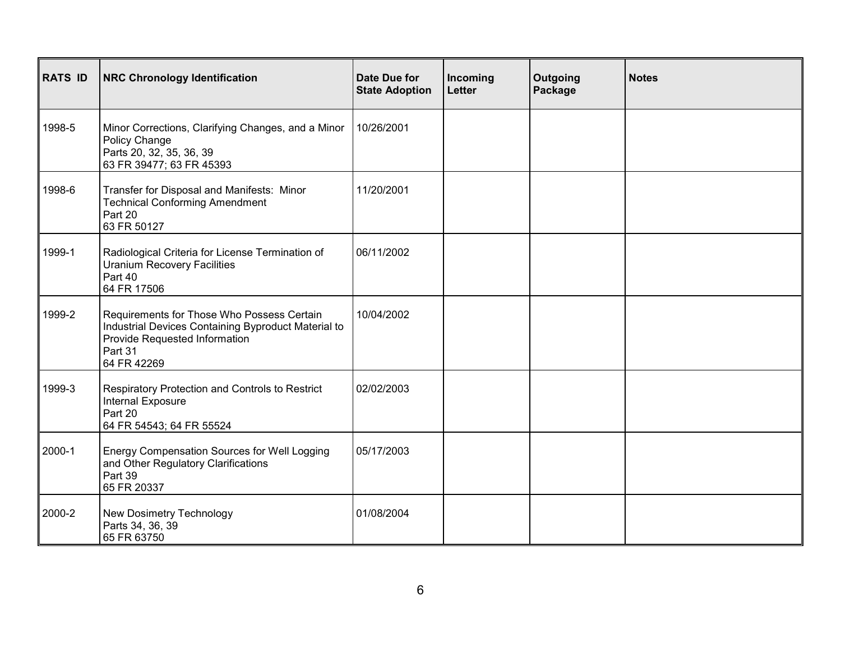| <b>RATS ID</b> | <b>NRC Chronology Identification</b>                                                                                                                         | Date Due for<br><b>State Adoption</b> | Incoming<br>Letter | Outgoing<br>Package | <b>Notes</b> |
|----------------|--------------------------------------------------------------------------------------------------------------------------------------------------------------|---------------------------------------|--------------------|---------------------|--------------|
| 1998-5         | Minor Corrections, Clarifying Changes, and a Minor<br>Policy Change<br>Parts 20, 32, 35, 36, 39<br>63 FR 39477; 63 FR 45393                                  | 10/26/2001                            |                    |                     |              |
| 1998-6         | Transfer for Disposal and Manifests: Minor<br><b>Technical Conforming Amendment</b><br>Part 20<br>63 FR 50127                                                | 11/20/2001                            |                    |                     |              |
| 1999-1         | Radiological Criteria for License Termination of<br><b>Uranium Recovery Facilities</b><br>Part 40<br>64 FR 17506                                             | 06/11/2002                            |                    |                     |              |
| 1999-2         | Requirements for Those Who Possess Certain<br>Industrial Devices Containing Byproduct Material to<br>Provide Requested Information<br>Part 31<br>64 FR 42269 | 10/04/2002                            |                    |                     |              |
| 1999-3         | Respiratory Protection and Controls to Restrict<br>Internal Exposure<br>Part 20<br>64 FR 54543; 64 FR 55524                                                  | 02/02/2003                            |                    |                     |              |
| 2000-1         | Energy Compensation Sources for Well Logging<br>and Other Regulatory Clarifications<br>Part 39<br>65 FR 20337                                                | 05/17/2003                            |                    |                     |              |
| 2000-2         | New Dosimetry Technology<br>Parts 34, 36, 39<br>65 FR 63750                                                                                                  | 01/08/2004                            |                    |                     |              |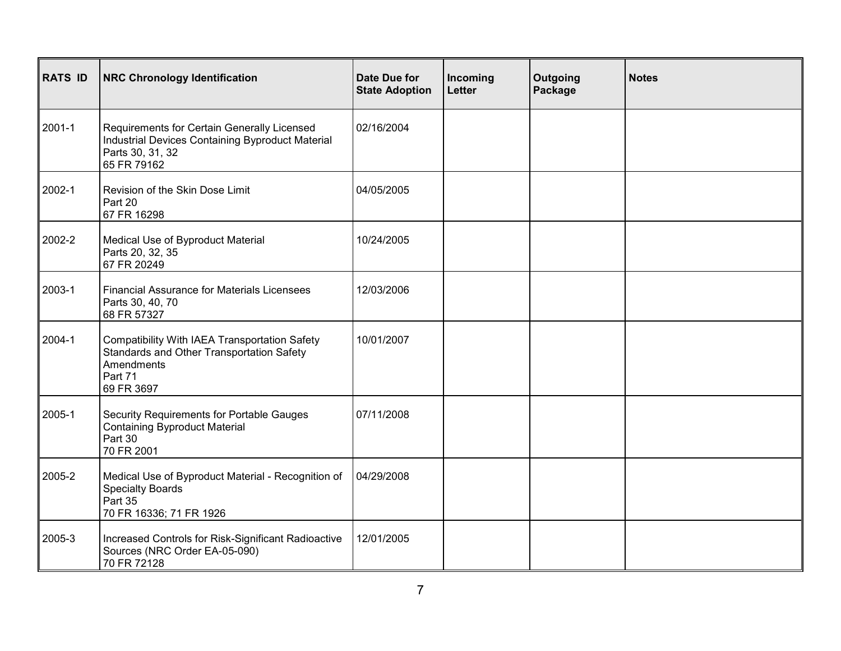| <b>RATS ID</b> | <b>NRC Chronology Identification</b>                                                                                               | Date Due for<br><b>State Adoption</b> | Incoming<br><b>Letter</b> | Outgoing<br>Package | <b>Notes</b> |
|----------------|------------------------------------------------------------------------------------------------------------------------------------|---------------------------------------|---------------------------|---------------------|--------------|
| 2001-1         | Requirements for Certain Generally Licensed<br>Industrial Devices Containing Byproduct Material<br>Parts 30, 31, 32<br>65 FR 79162 | 02/16/2004                            |                           |                     |              |
| 2002-1         | Revision of the Skin Dose Limit<br>Part 20<br>67 FR 16298                                                                          | 04/05/2005                            |                           |                     |              |
| 2002-2         | Medical Use of Byproduct Material<br>Parts 20, 32, 35<br>67 FR 20249                                                               | 10/24/2005                            |                           |                     |              |
| 2003-1         | <b>Financial Assurance for Materials Licensees</b><br>Parts 30, 40, 70<br>68 FR 57327                                              | 12/03/2006                            |                           |                     |              |
| 2004-1         | Compatibility With IAEA Transportation Safety<br>Standards and Other Transportation Safety<br>Amendments<br>Part 71<br>69 FR 3697  | 10/01/2007                            |                           |                     |              |
| 2005-1         | Security Requirements for Portable Gauges<br><b>Containing Byproduct Material</b><br>Part 30<br>70 FR 2001                         | 07/11/2008                            |                           |                     |              |
| 2005-2         | Medical Use of Byproduct Material - Recognition of<br><b>Specialty Boards</b><br>Part 35<br>70 FR 16336; 71 FR 1926                | 04/29/2008                            |                           |                     |              |
| 2005-3         | Increased Controls for Risk-Significant Radioactive<br>Sources (NRC Order EA-05-090)<br>70 FR 72128                                | 12/01/2005                            |                           |                     |              |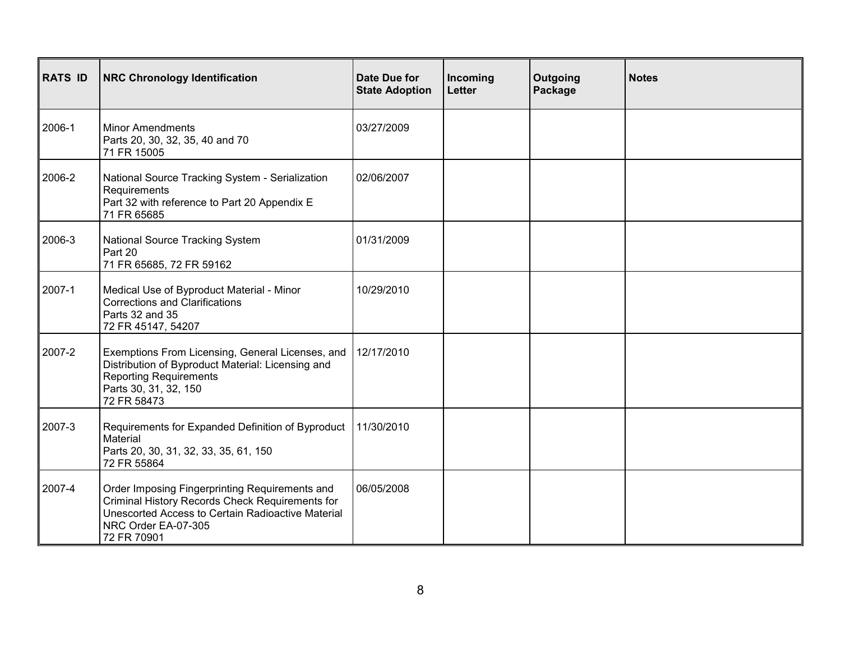| <b>RATS ID</b> | <b>NRC Chronology Identification</b>                                                                                                                                                         | Date Due for<br><b>State Adoption</b> | Incoming<br>Letter | Outgoing<br>Package | <b>Notes</b> |
|----------------|----------------------------------------------------------------------------------------------------------------------------------------------------------------------------------------------|---------------------------------------|--------------------|---------------------|--------------|
| 2006-1         | <b>Minor Amendments</b><br>Parts 20, 30, 32, 35, 40 and 70<br>71 FR 15005                                                                                                                    | 03/27/2009                            |                    |                     |              |
| 2006-2         | National Source Tracking System - Serialization<br>Requirements<br>Part 32 with reference to Part 20 Appendix E<br>71 FR 65685                                                               | 02/06/2007                            |                    |                     |              |
| 2006-3         | National Source Tracking System<br>Part 20<br>71 FR 65685, 72 FR 59162                                                                                                                       | 01/31/2009                            |                    |                     |              |
| 2007-1         | Medical Use of Byproduct Material - Minor<br><b>Corrections and Clarifications</b><br>Parts 32 and 35<br>72 FR 45147, 54207                                                                  | 10/29/2010                            |                    |                     |              |
| 2007-2         | Exemptions From Licensing, General Licenses, and<br>Distribution of Byproduct Material: Licensing and<br><b>Reporting Requirements</b><br>Parts 30, 31, 32, 150<br>72 FR 58473               | 12/17/2010                            |                    |                     |              |
| 2007-3         | Requirements for Expanded Definition of Byproduct<br>Material<br>Parts 20, 30, 31, 32, 33, 35, 61, 150<br>72 FR 55864                                                                        | 11/30/2010                            |                    |                     |              |
| 2007-4         | Order Imposing Fingerprinting Requirements and<br>Criminal History Records Check Requirements for<br>Unescorted Access to Certain Radioactive Material<br>NRC Order EA-07-305<br>72 FR 70901 | 06/05/2008                            |                    |                     |              |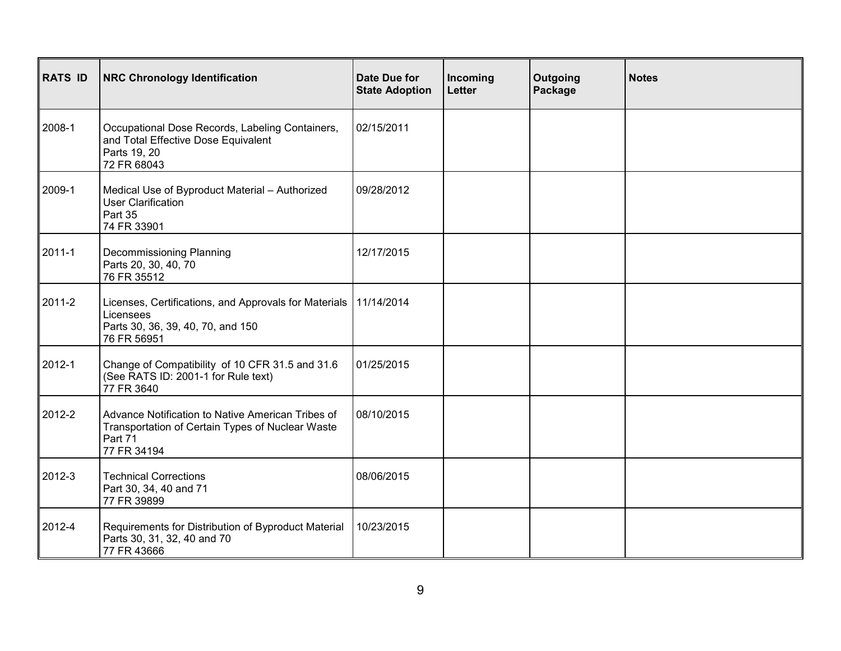| <b>RATS ID</b> | <b>NRC Chronology Identification</b>                                                                                                | Date Due for<br><b>State Adoption</b> | Incoming<br>Letter | Outgoing<br>Package | <b>Notes</b> |
|----------------|-------------------------------------------------------------------------------------------------------------------------------------|---------------------------------------|--------------------|---------------------|--------------|
| 2008-1         | Occupational Dose Records, Labeling Containers,<br>and Total Effective Dose Equivalent<br>Parts 19, 20<br>72 FR 68043               | 02/15/2011                            |                    |                     |              |
| 2009-1         | Medical Use of Byproduct Material - Authorized<br>User Clarification<br>Part 35<br>74 FR 33901                                      | 09/28/2012                            |                    |                     |              |
| 2011-1         | Decommissioning Planning<br>Parts 20, 30, 40, 70<br>76 FR 35512                                                                     | 12/17/2015                            |                    |                     |              |
| 2011-2         | Licenses, Certifications, and Approvals for Materials   11/14/2014<br>Licensees<br>Parts 30, 36, 39, 40, 70, and 150<br>76 FR 56951 |                                       |                    |                     |              |
| 2012-1         | Change of Compatibility of 10 CFR 31.5 and 31.6<br>(See RATS ID: 2001-1 for Rule text)<br>77 FR 3640                                | 01/25/2015                            |                    |                     |              |
| 2012-2         | Advance Notification to Native American Tribes of<br>Transportation of Certain Types of Nuclear Waste<br>Part 71<br>77 FR 34194     | 08/10/2015                            |                    |                     |              |
| 2012-3         | <b>Technical Corrections</b><br>Part 30, 34, 40 and 71<br>77 FR 39899                                                               | 08/06/2015                            |                    |                     |              |
| 2012-4         | Requirements for Distribution of Byproduct Material<br>Parts 30, 31, 32, 40 and 70<br>77 FR 43666                                   | 10/23/2015                            |                    |                     |              |